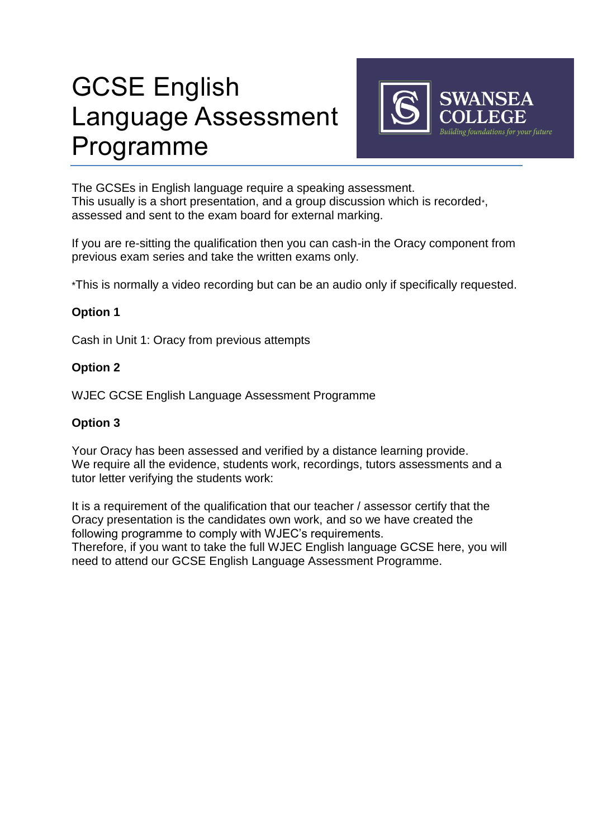# GCSE English Language Assessment Programme



The GCSEs in English language require a speaking assessment. This usually is a short presentation, and a group discussion which is recorded\*, assessed and sent to the exam board for external marking.

If you are re-sitting the qualification then you can cash-in the Oracy component from previous exam series and take the written exams only.

\*This is normally a video recording but can be an audio only if specifically requested.

### **Option 1**

Cash in Unit 1: Oracy from previous attempts

### **Option 2**

WJEC GCSE English Language Assessment Programme

### **Option 3**

Your Oracy has been assessed and verified by a distance learning provide. We require all the evidence, students work, recordings, tutors assessments and a tutor letter verifying the students work:

It is a requirement of the qualification that our teacher / assessor certify that the Oracy presentation is the candidates own work, and so we have created the following programme to comply with WJEC's requirements.

Therefore, if you want to take the full WJEC English language GCSE here, you will need to attend our GCSE English Language Assessment Programme.